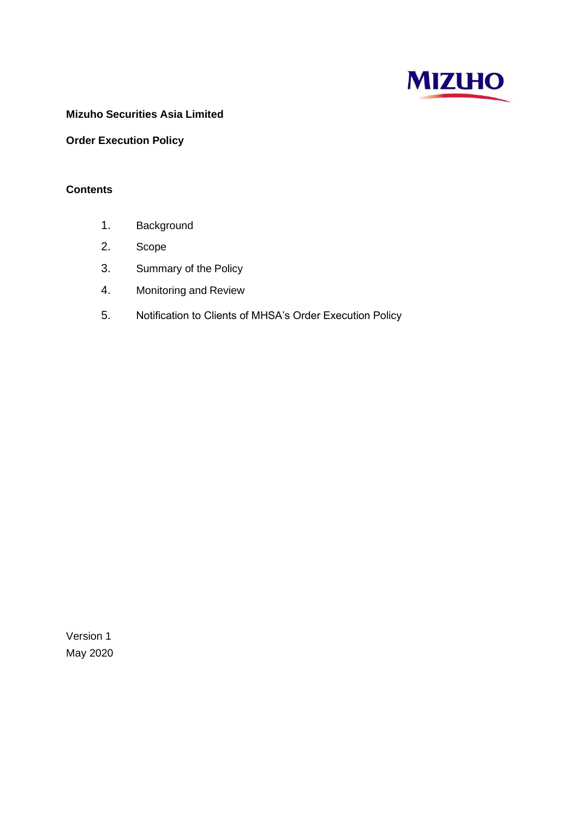

# **Mizuho Securities Asia Limited**

# **Order Execution Policy**

## **Contents**

- 1. Background
- 2. Scope
- 3. Summary of the Policy
- 4. Monitoring and Review
- 5. Notification to Clients of MHSA's Order Execution Policy

Version 1 May 2020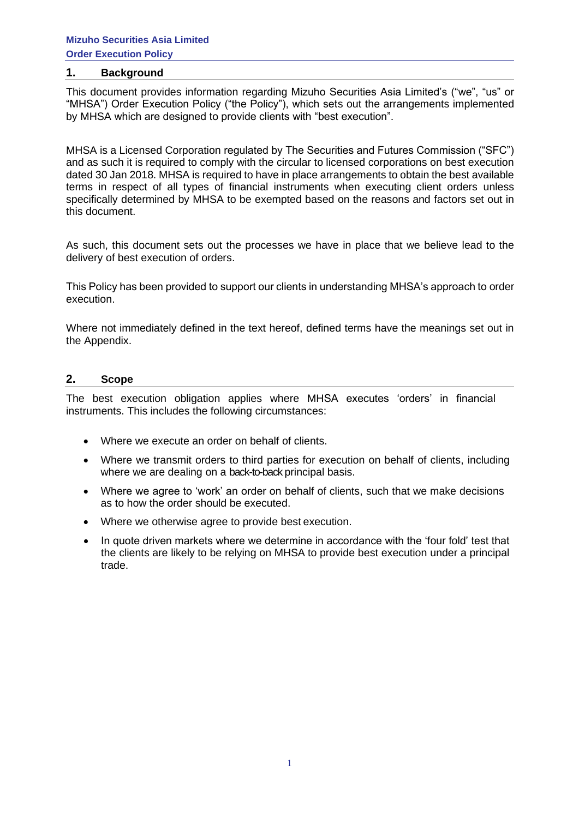#### **1. Background**

This document provides information regarding Mizuho Securities Asia Limited's ("we", "us" or "MHSA") Order Execution Policy ("the Policy"), which sets out the arrangements implemented by MHSA which are designed to provide clients with "best execution".

MHSA is a Licensed Corporation regulated by The Securities and Futures Commission ("SFC") and as such it is required to comply with the circular to licensed corporations on best execution dated 30 Jan 2018. MHSA is required to have in place arrangements to obtain the best available terms in respect of all types of financial instruments when executing client orders unless specifically determined by MHSA to be exempted based on the reasons and factors set out in this document.

As such, this document sets out the processes we have in place that we believe lead to the delivery of best execution of orders.

This Policy has been provided to support our clients in understanding MHSA's approach to order execution.

Where not immediately defined in the text hereof, defined terms have the meanings set out in the Appendix.

#### **2. Scope**

The best execution obligation applies where MHSA executes 'orders' in financial instruments. This includes the following circumstances:

- Where we execute an order on behalf of clients.
- Where we transmit orders to third parties for execution on behalf of clients, including where we are dealing on a back-to-back principal basis.
- Where we agree to 'work' an order on behalf of clients, such that we make decisions as to how the order should be executed.
- Where we otherwise agree to provide best execution.
- In quote driven markets where we determine in accordance with the 'four fold' test that the clients are likely to be relying on MHSA to provide best execution under a principal trade.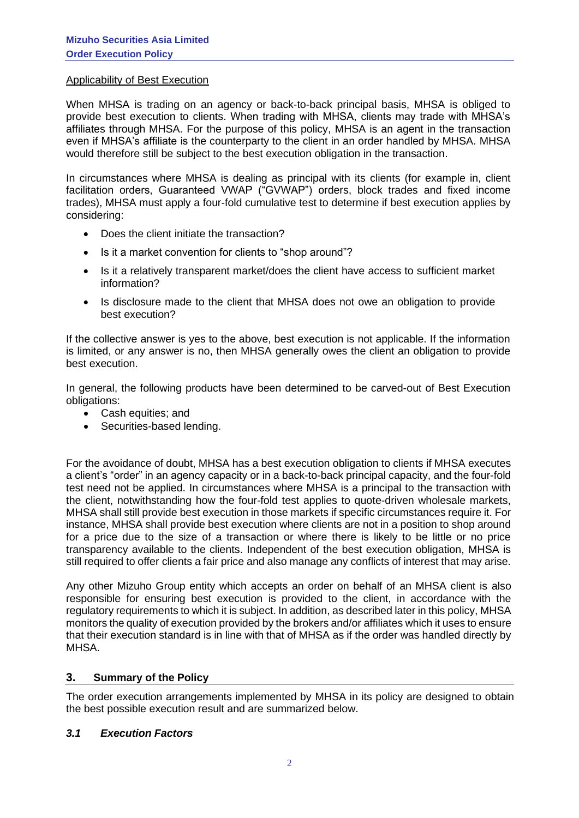#### Applicability of Best Execution

When MHSA is trading on an agency or back-to-back principal basis, MHSA is obliged to provide best execution to clients. When trading with MHSA, clients may trade with MHSA's affiliates through MHSA. For the purpose of this policy, MHSA is an agent in the transaction even if MHSA's affiliate is the counterparty to the client in an order handled by MHSA. MHSA would therefore still be subject to the best execution obligation in the transaction.

In circumstances where MHSA is dealing as principal with its clients (for example in, client facilitation orders, Guaranteed VWAP ("GVWAP") orders, block trades and fixed income trades), MHSA must apply a four-fold cumulative test to determine if best execution applies by considering:

- Does the client initiate the transaction?
- Is it a market convention for clients to "shop around"?
- Is it a relatively transparent market/does the client have access to sufficient market information?
- Is disclosure made to the client that MHSA does not owe an obligation to provide best execution?

If the collective answer is yes to the above, best execution is not applicable. If the information is limited, or any answer is no, then MHSA generally owes the client an obligation to provide best execution.

In general, the following products have been determined to be carved-out of Best Execution obligations:

- Cash equities; and
- Securities-based lending.

For the avoidance of doubt, MHSA has a best execution obligation to clients if MHSA executes a client's "order" in an agency capacity or in a back-to-back principal capacity, and the four-fold test need not be applied. In circumstances where MHSA is a principal to the transaction with the client, notwithstanding how the four-fold test applies to quote-driven wholesale markets, MHSA shall still provide best execution in those markets if specific circumstances require it. For instance, MHSA shall provide best execution where clients are not in a position to shop around for a price due to the size of a transaction or where there is likely to be little or no price transparency available to the clients. Independent of the best execution obligation, MHSA is still required to offer clients a fair price and also manage any conflicts of interest that may arise.

Any other Mizuho Group entity which accepts an order on behalf of an MHSA client is also responsible for ensuring best execution is provided to the client, in accordance with the regulatory requirements to which it is subject. In addition, as described later in this policy, MHSA monitors the quality of execution provided by the brokers and/or affiliates which it uses to ensure that their execution standard is in line with that of MHSA as if the order was handled directly by MHSA.

#### **3. Summary of the Policy**

The order execution arrangements implemented by MHSA in its policy are designed to obtain the best possible execution result and are summarized below.

#### *3.1 Execution Factors*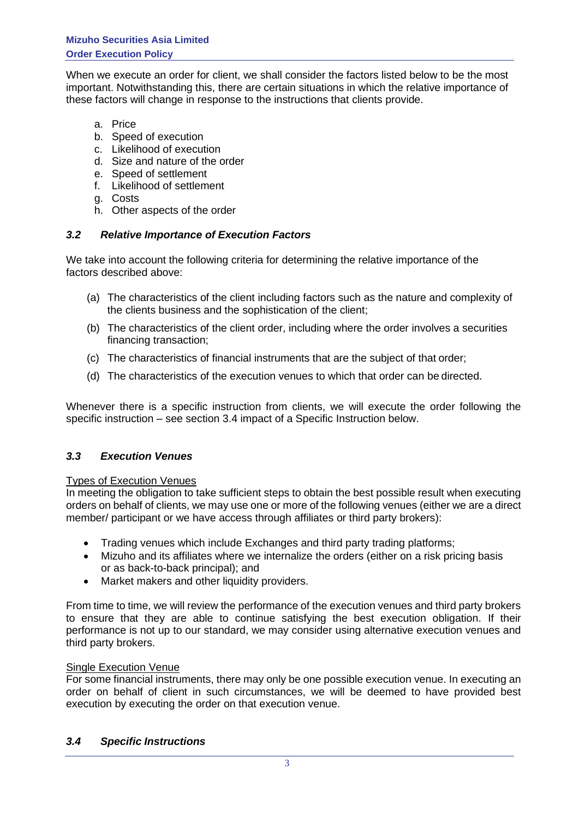When we execute an order for client, we shall consider the factors listed below to be the most important. Notwithstanding this, there are certain situations in which the relative importance of these factors will change in response to the instructions that clients provide.

- a. Price
- b. Speed of execution
- c. Likelihood of execution
- d. Size and nature of the order
- e. Speed of settlement
- f. Likelihood of settlement
- g. Costs
- h. Other aspects of the order

## *3.2 Relative Importance of Execution Factors*

We take into account the following criteria for determining the relative importance of the factors described above:

- (a) The characteristics of the client including factors such as the nature and complexity of the clients business and the sophistication of the client;
- (b) The characteristics of the client order, including where the order involves a securities financing transaction;
- (c) The characteristics of financial instruments that are the subject of that order;
- (d) The characteristics of the execution venues to which that order can be directed.

Whenever there is a specific instruction from clients, we will execute the order following the specific instruction – see section 3.4 impact of a Specific Instruction below.

## *3.3 Execution Venues*

#### Types of Execution Venues

In meeting the obligation to take sufficient steps to obtain the best possible result when executing orders on behalf of clients, we may use one or more of the following venues (either we are a direct member/ participant or we have access through affiliates or third party brokers):

- Trading venues which include Exchanges and third party trading platforms;
- Mizuho and its affiliates where we internalize the orders (either on a risk pricing basis or as back-to-back principal); and
- Market makers and other liquidity providers.

From time to time, we will review the performance of the execution venues and third party brokers to ensure that they are able to continue satisfying the best execution obligation. If their performance is not up to our standard, we may consider using alternative execution venues and third party brokers.

#### Single Execution Venue

For some financial instruments, there may only be one possible execution venue. In executing an order on behalf of client in such circumstances, we will be deemed to have provided best execution by executing the order on that execution venue.

#### *3.4 Specific Instructions*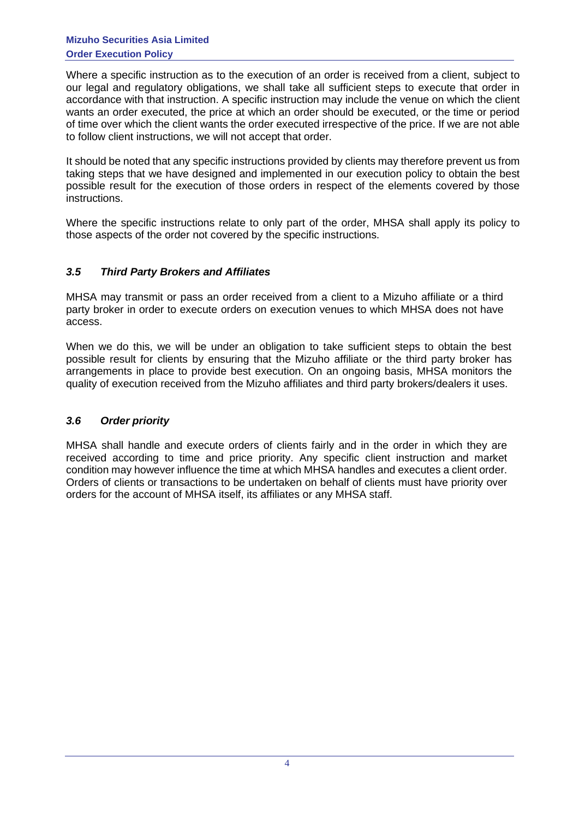Where a specific instruction as to the execution of an order is received from a client, subject to our legal and regulatory obligations, we shall take all sufficient steps to execute that order in accordance with that instruction. A specific instruction may include the venue on which the client wants an order executed, the price at which an order should be executed, or the time or period of time over which the client wants the order executed irrespective of the price. If we are not able to follow client instructions, we will not accept that order.

It should be noted that any specific instructions provided by clients may therefore prevent us from taking steps that we have designed and implemented in our execution policy to obtain the best possible result for the execution of those orders in respect of the elements covered by those instructions.

Where the specific instructions relate to only part of the order, MHSA shall apply its policy to those aspects of the order not covered by the specific instructions.

## *3.5 Third Party Brokers and Affiliates*

MHSA may transmit or pass an order received from a client to a Mizuho affiliate or a third party broker in order to execute orders on execution venues to which MHSA does not have access.

When we do this, we will be under an obligation to take sufficient steps to obtain the best possible result for clients by ensuring that the Mizuho affiliate or the third party broker has arrangements in place to provide best execution. On an ongoing basis, MHSA monitors the quality of execution received from the Mizuho affiliates and third party brokers/dealers it uses.

## *3.6 Order priority*

MHSA shall handle and execute orders of clients fairly and in the order in which they are received according to time and price priority. Any specific client instruction and market condition may however influence the time at which MHSA handles and executes a client order. Orders of clients or transactions to be undertaken on behalf of clients must have priority over orders for the account of MHSA itself, its affiliates or any MHSA staff.